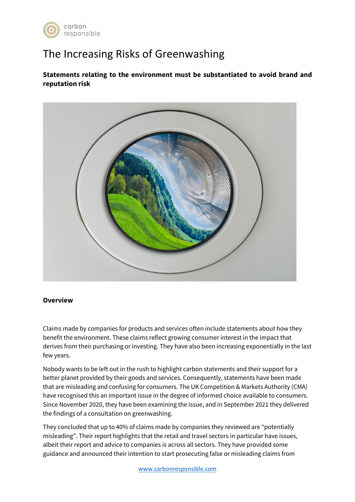

# The Increasing Risks of Greenwashing

**Statements relating to the environment must be substantiated to avoid brand and reputation risk**



#### **Overview**

Claims made by companies for products and services often include statements about how they benefit the environment. These claims reflect growing consumer interest in the impact that derives from their purchasing or investing. They have also been increasing exponentially in the last few years.

Nobody wants to be left out in the rush to highlight carbon statements and their support for a better planet provided by their goods and services. Consequently, statements have been made that are misleading and confusing for consumers. The UK Competition & Markets Authority (CMA) have recognised this an important issue in the degree of informed choice available to consumers. Since November 2020, they have been examining the issue, and in September 2021 they delivered the findings of a consultation on greenwashing.

They concluded that up to 40% of claims made by companies they reviewed are "potentially misleading". Their report highlights that the retail and travel sectors in particular have issues, albeit their report and advice to companies is across all sectors. They have provided some guidance and announced their intention to start prosecuting false or misleading claims from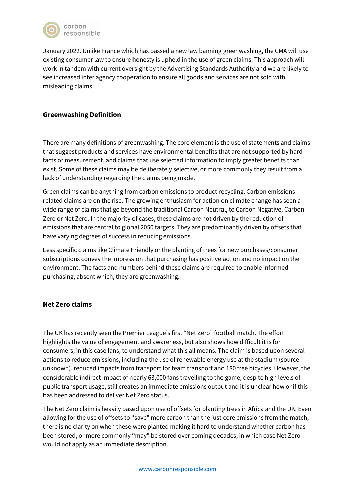

January 2022. Unlike France which has passed a new law banning greenwashing, the CMA will use existing consumer law to ensure honesty is upheld in the use of green claims. This approach will work in tandem with current oversight by the Advertising Standards Authority and we are likely to see increased inter agency cooperation to ensure all goods and services are not sold with misleading claims.

## **Greenwashing Definition**

There are many definitions of greenwashing. The core element is the use of statements and claims that suggest products and services have environmental benefits that are not supported by hard facts or measurement, and claims that use selected information to imply greater benefits than exist. Some of these claims may be deliberately selective, or more commonly they result from a lack of understanding regarding the claims being made.

Green claims can be anything from carbon emissions to product recycling. Carbon emissions related claims are on the rise. The growing enthusiasm for action on climate change has seen a wide range of claims that go beyond the traditional Carbon Neutral, to Carbon Negative, Carbon Zero or Net Zero. In the majority of cases, these claims are not driven by the reduction of emissions that are central to global 2050 targets. They are predominantly driven by offsets that have varying degrees of success in reducing emissions.

Less specific claims like Climate Friendly or the planting of trees for new purchases/consumer subscriptions convey the impression that purchasing has positive action and no impact on the environment. The facts and numbers behind these claims are required to enable informed purchasing, absent which, they are greenwashing.

#### **Net Zero claims**

The UK has recently seen the Premier League's first "Net Zero" football match. The effort highlights the value of engagement and awareness, but also shows how difficult it is for consumers, in this case fans, to understand what this all means. The claim is based upon several actions to reduce emissions, including the use of renewable energy use at the stadium (source unknown), reduced impacts from transport for team transport and 180 free bicycles. However, the considerable indirect impact of nearly 63,000 fans travelling to the game, despite high levels of public transport usage, still creates an immediate emissions output and it is unclear how or if this has been addressed to deliver Net Zero status.

The Net Zero claim is heavily based upon use of offsets for planting trees in Africa and the UK. Even allowing for the use of offsets to "save" more carbon than the just core emissions from the match, there is no clarity on when these were planted making it hard to understand whether carbon has been stored, or more commonly "may" be stored over coming decades, in which case Net Zero would not apply as an immediate description.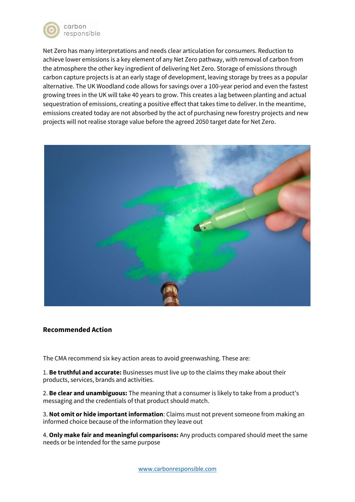

Net Zero has many interpretations and needs clear articulation for consumers. Reduction to achieve lower emissions is a key element of any Net Zero pathway, with removal of carbon from the atmosphere the other key ingredient of delivering Net Zero. Storage of emissions through carbon capture projects is at an early stage of development, leaving storage by trees as a popular alternative. The UK Woodland code allows for savings over a 100-year period and even the fastest growing trees in the UK will take 40 years to grow. This creates a lag between planting and actual sequestration of emissions, creating a positive effect that takes time to deliver. In the meantime, emissions created today are not absorbed by the act of purchasing new forestry projects and new projects will not realise storage value before the agreed 2050 target date for Net Zero.



#### **Recommended Action**

The CMA recommend six key action areas to avoid greenwashing. These are:

1. **Be truthful and accurate:** Businesses must live up to the claims they make about their products, services, brands and activities.

2. **Be clear and unambiguous:** The meaning that a consumer is likely to take from a product's messaging and the credentials of that product should match.

3. **Not omit or hide important information**: Claims must not prevent someone from making an informed choice because of the information they leave out

4. **Only make fair and meaningful comparisons:** Any products compared should meet the same needs or be intended for the same purpose